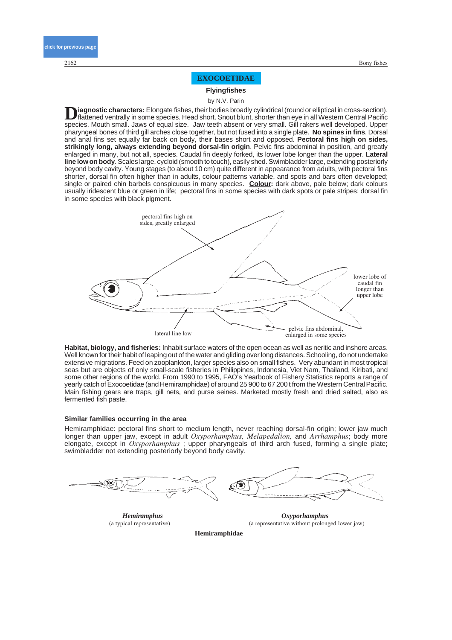## **EXOCOETIDAE**

**Flyingfishes**

by N.V. Parin

Diagnostic characters: Elongate fishes, their bodies broadly cylindrical (round or elliptical in cross-section),<br>flattened ventrally in some species. Head short. Snout blunt, shorter than eye in all Western Central Pacific species. Mouth small. Jaws of equal size. Jaw teeth absent or very small. Gill rakers well developed. Upper pharyngeal bones of third gill arches close together, but not fused into a single plate. **No spines in fins**. Dorsal and anal fins set equally far back on body, their bases short and opposed. **Pectoral fins high on sides, strikingly long, always extending beyond dorsal-fin origin**. Pelvic fins abdominal in position, and greatly enlarged in many, but not all, species. Caudal fin deeply forked, its lower lobe longer than the upper. **Lateral line low on body**. Scales large, cycloid (smooth to touch), easily shed. Swimbladder large, extending posteriorly beyond body cavity. Young stages (to about 10 cm) quite different in appearance from adults, with pectoral fins shorter, dorsal fin often higher than in adults, colour patterns variable, and spots and bars often developed; single or paired chin barbels conspicuous in many species. **Colour:** dark above, pale below; dark colours usually iridescent blue or green in life; pectoral fins in some species with dark spots or pale stripes; dorsal fin in some species with black pigment.



**Habitat, biology, and fisheries:** Inhabit surface waters of the open ocean as well as neritic and inshore areas. Well known for their habit of leaping out of the water and gliding over long distances. Schooling, do not undertake extensive migrations. Feed on zooplankton, larger species also on small fishes. Very abundant in most tropical seas but are objects of only small-scale fisheries in Philippines, Indonesia, Viet Nam, Thailand, Kiribati, and some other regions of the world. From 1990 to 1995, FAO's Yearbook of Fishery Statistics reports a range of yearly catch of Exocoetidae (and Hemiramphidae) of around 25 900 to 67 200 t from the Western Central Pacific. Main fishing gears are traps, gill nets, and purse seines. Marketed mostly fresh and dried salted, also as fermented fish paste.

#### **Similar families occurring in the area**

Hemiramphidae: pectoral fins short to medium length, never reaching dorsal-fin origin; lower jaw much longer than upper jaw, except in adult *Oxyporhamphus, Melapedalion,* and *Arrhamphus*; body more elongate, except in *Oxyporhamphus* ; upper pharyngeals of third arch fused, forming a single plate; swimbladder not extending posteriorly beyond body cavity.



(a typical representative) *Hemiramphus*



(a representative without prolonged lower jaw) *Oxyporhamphus*

**Hemiramphidae**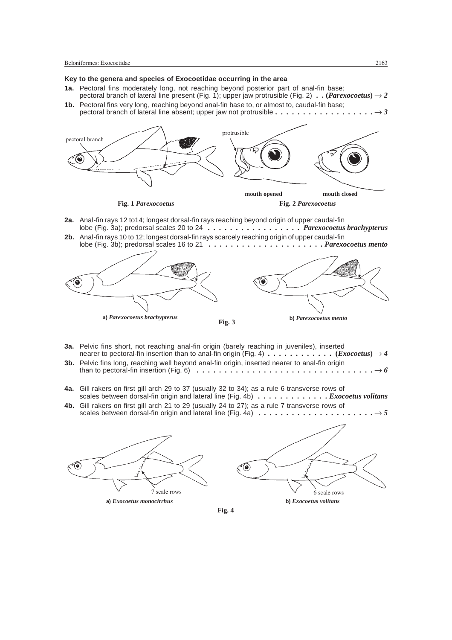## **Key to the genera and species of Exocoetidae occurring in the area**

- **1a.** Pectoral fins moderately long, not reaching beyond posterior part of anal-fin base; pectoral branch of lateral line present (Fig. 1); upper jaw protrusible (Fig. 2)  $\ldots$  (*Parexocoetus*)  $\rightarrow$  2
- **1b.** Pectoral fins very long, reaching beyond anal-fin base to, or almost to, caudal-fin base; pectoral branch of lateral line absent; upper jaw not protrusible  $\dots \dots \dots \dots \dots \dots \rightarrow 3$



- **2a.** Anal-fin rays 12 to14; longest dorsal-fin rays reaching beyond origin of upper caudal-fin lobe (Fig. 3a); predorsal scales 20 to 24 *. . . . . . . . . . . . . . . . . Parexocoetus brachypterus*
- **2b.** Anal-fin rays 10 to 12; longest dorsal-fin rays scarcely reaching origin of upper caudal-fin lobe (Fig. 3b); predorsal scales 16 to 21 *. . . . . . . . . . . . . . . . . . . . . Parexocoetus mento*



- **3a.** Pelvic fins short, not reaching anal-fin origin (barely reaching in juveniles), inserted nearer to pectoral-fin insertion than to anal-fin origin (Fig. 4)  $\dots \dots \dots$ .......... (*Exocoetus*)  $\rightarrow$  4
- **3b.** Pelvic fins long, reaching well beyond anal-fin origin, inserted nearer to anal-fin origin than to pectoral-fin insertion (Fig. 6)  $\dots \dots \dots \dots \dots \dots \dots \dots \dots \dots \dots \dots \longrightarrow 6$
- **4a.** Gill rakers on first gill arch 29 to 37 (usually 32 to 34); as a rule 6 transverse rows of scales between dorsal-fin origin and lateral line (Fig. 4b) *. . . . . . . . . . . . . Exocoetus volitans*
- **4b.** Gill rakers on first gill arch 21 to 29 (usually 24 to 27); as a rule 7 transverse rows of scales between dorsal-fin origin and lateral line (Fig. 4a)  $\dots \dots \dots \dots \dots \dots \dots \dots \rightarrow 5$





**Fig. 4**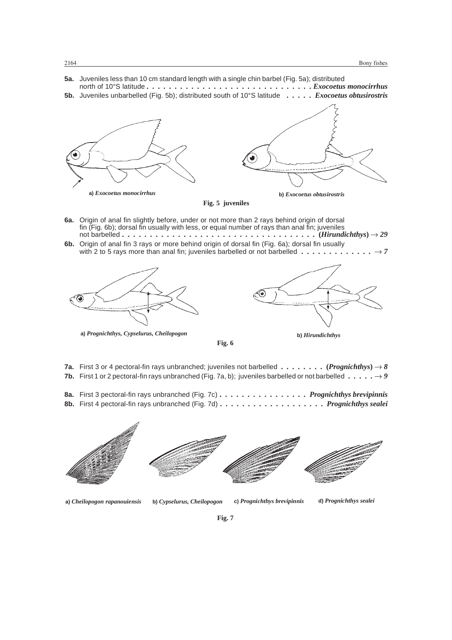- **5a.** Juveniles less than 10 cm standard length with a single chin barbel (Fig. 5a); distributed north of 10°S latitude *. . . . . . . . . . . . . . . . . . . . . . . . . . . . . . Exocoetus monocirrhus*
- **5b.** Juveniles unbarbelled (Fig. 5b); distributed south of 10°S latitude *. . . . . Exocoetus obtusirostris*



**Fig. 5 juveniles**

- **6a.** Origin of anal fin slightly before, under or not more than 2 rays behind origin of dorsal fin (Fig. 6b); dorsal fin usually with less, or equal number of rays than anal fin; juveniles not barbelled *...................................* **(***Hirundichthys***)** *29*
- **6b.** Origin of anal fin 3 rays or more behind origin of dorsal fin (Fig. 6a); dorsal fin usually with 2 to 5 rays more than anal fin; juveniles barbelled or not barbelled  $\dots \dots \dots \dots \rightarrow 7$



**a)** *Prognichthys, Cypselurus, Cheilopogon* **b)** *Hirundichthys*



- **7a.** First 3 or 4 pectoral-fin rays unbranched; juveniles not barbelled *........* **(***Prognichthys***)** *8* **7b.** First 1 or 2 pectoral-fin rays unbranched (Fig. 7a, b); juveniles barbelled or not barbelled  $\dots \dots \rightarrow 9$
- **8a.** First 3 pectoral-fin rays unbranched (Fig. 7c) *. . . . . . . . . . . . . . . . Prognichthys brevipinnis* **8b.** First 4 pectoral-fin rays unbranched (Fig. 7d) *. . . . . . . . . . . . . . . . . . . Prognichthys sealei*



**a)** *Cheilopogon rapanouiensis* **b)** *Cypselurus, Cheilopogon* **c)** *Prognichthys brevipinnis* **d)** *Prognichthys sealei*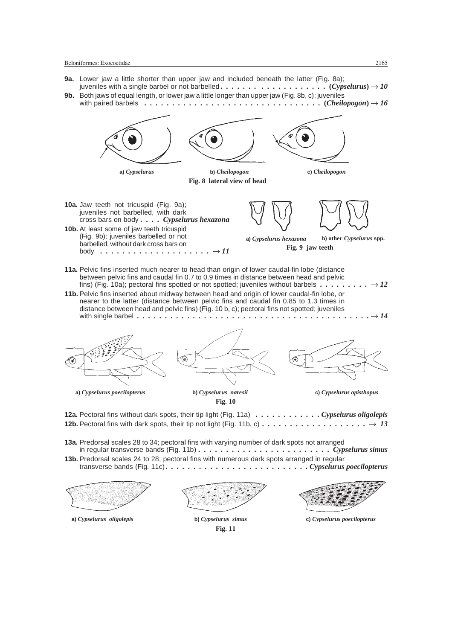- **9a.** Lower jaw a little shorter than upper jaw and included beneath the latter (Fig. 8a); juveniles with a single barbel or not barbelled *....... ............* **(***Cypselurus***)** *10*
- **9b.** Both jaws of equal length, or lower jaw a little longer than upper jaw (Fig. 8b, c); juveniles with paired barbels  $\dots \dots \dots \dots \dots \dots \dots \dots \dots \dots \dots$ .  $(Cheilopogon) \rightarrow 16$



**Fig. 11**



**a)** *Cypselurus oligolepis* **b)** *Cypselurus simus* **c)** *Cypselurus poecilopterus*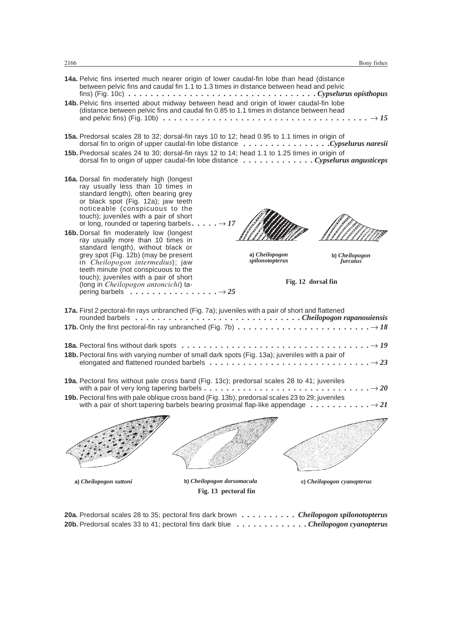- **14a.** Pelvic fins inserted much nearer origin of lower caudal-fin lobe than head (distance between pelvic fins and caudal fin 1.1 to 1.3 times in distance between head and pelvic fins) (Fig. 10c) *. . . . . . . . . . . . . . . . . . . . . . . . . . . . . . . . . . Cypselurus opisthopus* **14b.** Pelvic fins inserted about midway between head and origin of lower caudal-fin lobe
- (distance between pelvic fins and caudal fin 0.85 to 1.1 times in distance between head and pelvic fins) (Fig. 10b)  $\dots \dots \dots \dots \dots \dots \dots \dots \dots \dots \dots \dots \dots \dots \longrightarrow 15$
- **15a.** Predorsal scales 28 to 32; dorsal-fin rays 10 to 12; head 0.95 to 1.1 times in origin of dorsal fin to origin of upper caudal-fin lobe distance *. . . . . . . . . . . . . . . .Cypselurus naresii*
- **15b.** Predorsal scales 24 to 30; dorsal-fin rays 12 to 14; head 1.1 to 1.25 times in origin of dorsal fin to origin of upper caudal-fin lobe distance *. . . . . . . . . . . . . Cypselurus angusticeps*
- **16a.** Dorsal fin moderately high (longest ray usually less than 10 times in standard length), often bearing grey or black spot (Fig. 12a); jaw teeth noticeable (conspicuous to the touch); juveniles with a pair of short or long, rounded or tapering barbels.  $\ldots$ .  $\ldots$   $\rightarrow$  17
- **16b.** Dorsal fin moderately low (longest ray usually more than 10 times in standard length), without black or grey spot (Fig. 12b) (may be present in *Cheilopogon intermedius*); jaw teeth minute (not conspicuous to the touch); juveniles with a pair of short (long in *Cheilopogon antoncichi*) tapering barbels *................ 25*



**a)** *Cheilopogon spilonotopterus*

**b)** *Cheilopogon furcatus*

**Fig. 12 dorsal fin**

**17a.** First 2 pectoral-fin rays unbranched (Fig. 7a); juveniles with a pair of short and flattened rounded barbels *. . . . . . . . . . . . . . . . . . . . . . . . . . . . . . Cheilopogon rapanouiensis* **17b.** Only the first pectoral-fin ray unbranched (Fig. 7b)  $\dots \dots \dots \dots \dots \dots \dots \dots \dots \dots \longrightarrow 18$ **18a.** Pectoral fins without dark spots *.................................. 19* **18b.** Pectoral fins with varying number of small dark spots (Fig. 13a); juveniles with a pair of elongated and flattened rounded barbels  $\dots \dots \dots \dots \dots \dots \dots \dots \dots \dots \dots \longrightarrow 23$ **19a.** Pectoral fins without pale cross band (Fig. 13c); predorsal scales 28 to 41; juveniles with a pair of very long tapering barbels  $\dots \dots \dots \dots \dots \dots \dots \dots \dots \dots \dots \dots \longrightarrow 20$ **19b.** Pectoral fins with pale oblique cross band (Fig. 13b); predorsal scales 23 to 29; juveniles with a pair of short tapering barbels bearing proximal flap-like appendage  $\dots \dots \dots \dots \rightarrow 2I$ **a)** *Cheilopogon suttoni* **b)** *Cheilopogon dorsomacula* **c)** *Cheilopogon cyanopterus* **Fig. 13 pectoral fin**

**20a.** Predorsal scales 28 to 35; pectoral fins dark brown *. . . . . . . . . . Cheilopogon spilonotopterus* **20b.** Predorsal scales 33 to 41; pectoral fins dark blue *. . . . . . . . . . . . . Cheilopogon cyanopterus*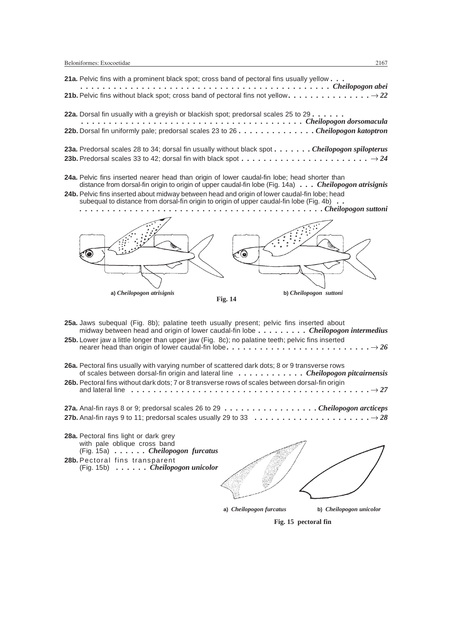| 21a. Pelvic fins with a prominent black spot; cross band of pectoral fins usually yellow                                                                                                                           |
|--------------------------------------------------------------------------------------------------------------------------------------------------------------------------------------------------------------------|
|                                                                                                                                                                                                                    |
| <b>22a.</b> Dorsal fin usually with a grevish or blackish spot; predorsal scales 25 to 29. $\dots$ .<br>Cheilopogon dorsomacula<br>22b. Dorsal fin uniformly pale; predorsal scales 23 to 26 Cheilopogon katoptron |

- **23a.** Predorsal scales 28 to 34; dorsal fin usually without black spot *. . . . . . . Cheilopogon spilopterus* **23b.** Predorsal scales 33 to 42; dorsal fin with black spot *....................... 24*
- **24a.** Pelvic fins inserted nearer head than origin of lower caudal-fin lobe; head shorter than distance from dorsal-fin origin to origin of upper caudal-fin lobe (Fig. 14a) *. . . Cheilopogon atrisignis*
- **24b.** Pelvic fins inserted about midway between head and origin of lower caudal-fin lobe; head subequal to distance from dorsal-fin origin to origin of upper caudal-fin lobe (Fig. 4b) *. . . . . . . . . . . . . . . . . . . . . . . . . . . . . . . . . . . . . . . . . . . . . . Cheilopogon suttoni*



**Fig. 14**

**25a.** Jaws subequal (Fig. 8b); palatine teeth usually present; pelvic fins inserted about midway between head and origin of lower caudal-fin lobe *. . . . . . . . . Cheilopogon intermedius*

- **25b.** Lower jaw a little longer than upper jaw (Fig. 8c); no palatine teeth; pelvic fins inserted nearer head than origin of lower caudal-fin lobe *.......................... 26*
- **26a.** Pectoral fins usually with varying number of scattered dark dots; 8 or 9 transverse rows of scales between dorsal-fin origin and lateral line *. . . . . . . . . . . . Cheilopogon pitcairnensis* **26b.** Pectoral fins without dark dots; 7 or 8 transverse rows of scales between dorsal-fin origin and lateral line *........................................... 27* **27a.** Anal-fin rays 8 or 9; predorsal scales 26 to 29 *. . . . . . . . . . . . . . . . . Cheilopogon arcticeps*
- **27b.** Anal-fin rays 9 to 11; predorsal scales usually 29 to 33 *..................... 28*
- **28a.** Pectoral fins light or dark grey with pale oblique cross band (Fig. 15a) *. . . . . . Cheilopogon furcatus* **28b.** Pectoral fins transparent
- (Fig. 15b) *. . . . . . Cheilopogon unicolor*



**a)** *Cheilopogon furcatus* **b)** *Cheilopogon unicolor*

**Fig. 15 pectoral fin**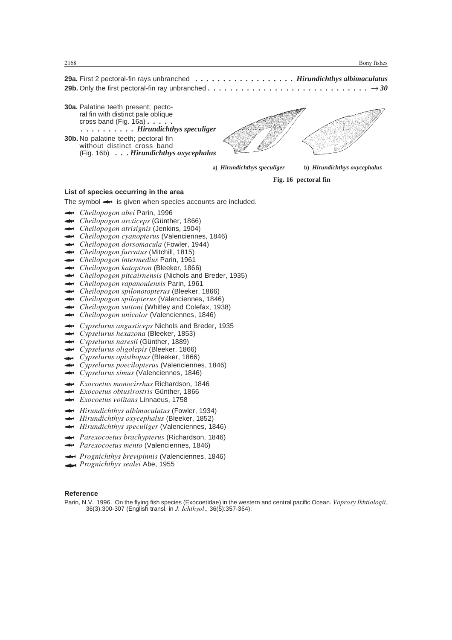**29a.** First 2 pectoral-fin rays unbranched *. . . . . . . . . . . . . . . . . . Hirundichthys albimaculatus* **29b.** Only the first pectoral-fin ray unbranched *............................. 30*

- **30a.** Palatine teeth present; pectoral fin with distinct pale oblique cross band (Fig. 16a) *..... . . . . . . . . . . Hirundichthys speculiger*
- **30b.** No palatine teeth; pectoral fin without distinct cross band (Fig. 16b) *. . . Hirundichthys oxycephalus*

**a)** *Hirundichthys speculiger* **b)** *Hirundichthys oxycephalus*

**Fig. 16 pectoral fin**

#### **List of species occurring in the area**

The symbol  $\leftrightarrow$  is given when species accounts are included.

- *Cheilopogon abei* Parin, 1996
- ← *Cheilopogon abei* Parin, 1996<br>← *Cheilopogon arcticeps* (Günther, 1866) *Cheilopogon arcticeps* (Günther, 1866)<br> *Cheilopogon atrisignis* (Jenkins, 1904)
- 
- **→** *Cheilopogon atrisignis* (Jenkins, 1904)<br>→ *Cheilopogon cyanopterus* (Valenciennes, 1846) *Cheilopogon cyanopterus* (Valenciennes,<br> *Cheilopogon dorsomacula* (Fowler, 1944)
- ← *Cheilopogon dorsomacula* (Fowler, 1<br>← *Cheilopogon furcatus* (Mitchill, 1815)
- *Cheilopogon intermedius* Parin, 1961
- 
- *Cheilopogon katoptron* (Bleeker, 1866)
- *Cheilopogon pitcairnensis* (Nichols and Breder, 1935)
- *Cheilopogon rapanouiensis* Parin, 1961
- *Cheilopogon spilonotopterus* (Bleeker, 1866)
- *Cheilopogon spilopterus* (Valenciennes, 1846)
- *Cheilopogon spilopterus* (Valenciennes, 1846)<br> *Cheilopogon suttoni* (Whitley and Colefax, 1938) *Cheilopogon suttoni* (Whitley and Colefax, 1<br> *Cheilopogon unicolor* (Valenciennes, 1846)
- 
- *Cypselurus angusticeps* Nichols and Breder, 1935
- *Cypselurus angusticeps* Nichols and E<br> *Cypselurus hexazona* (Bleeker, 1853) *Cypselurus naresii* (Günther, 1889)
- 
- *Cypselurus naresii* (Günther, 1889)<br> *Cypselurus oligolepis* (Bleeker, 1866) *Cypselurus oligolepis* (Bleeker, 1866)<br>*Cypselurus opisthopus* (Bleeker, 1866)
- 
- *Cypselurus poecilopterus* (Valenciennes, 1846)
- *Cypselurus simus* (Valenciennes, 1846)
- *Exocoetus monocirrhus* Richardson, 1846 *Exocoetus monocirrhus* Richardson, 18<br>*Exocoetus obtusirostris* Günther, 1866
- *Exocoetus volitans* Linnaeus, 1758
- 
- *Hirundichthys albimaculatus* (Fowler, 1934)
- *Hirundichthys albimaculatus (Fowler, 1934 Hirundichthys oxycephalus (Bleeker, 1852)*
- *Hirundichthys speculiger* (Valenciennes, 1846)
- *Parexocoetus brachypterus* (Richardson, 1846)
- *Parexocoetus mento* (Valenciennes, 1846)
- *Prognichthys brevipinnis* (Valenciennes, 1846) *Prognichthys sealei* Abe, 1955
- 

#### **Reference**

Parin, N.V. 1996. On the flying fish species (Exocoetidae) in the western and central pacific Ocean. *Voprosy Ikhtiologii*, 36(3):300-307 (English transl. in *J. Ichthyol*., 36(5):357-364).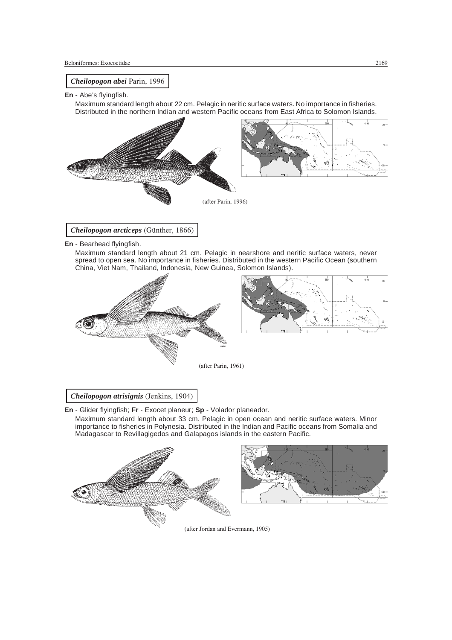

**En** - Abe's flyingfish.

Maximum standard length about 22 cm. Pelagic in neritic surface waters. No importance in fisheries. Distributed in the northern Indian and western Pacific oceans from East Africa to Solomon Islands.



*Cheilopogon arcticeps* (Günther, 1866)

**En** - Bearhead flyingfish.

Maximum standard length about 21 cm. Pelagic in nearshore and neritic surface waters, never spread to open sea. No importance in fisheries. Distributed in the western Pacific Ocean (southern China, Viet Nam, Thailand, Indonesia, New Guinea, Solomon Islands).





(after Parin, 1961)

*Cheilopogon atrisignis* (Jenkins, 1904)

**En** - Glider flyingfish; **Fr** - Exocet planeur; **Sp** - Volador planeador.

Maximum standard length about 33 cm. Pelagic in open ocean and neritic surface waters. Minor importance to fisheries in Polynesia. Distributed in the Indian and Pacific oceans from Somalia and Madagascar to Revillagigedos and Galapagos islands in the eastern Pacific.



(after Jordan and Evermann, 1905)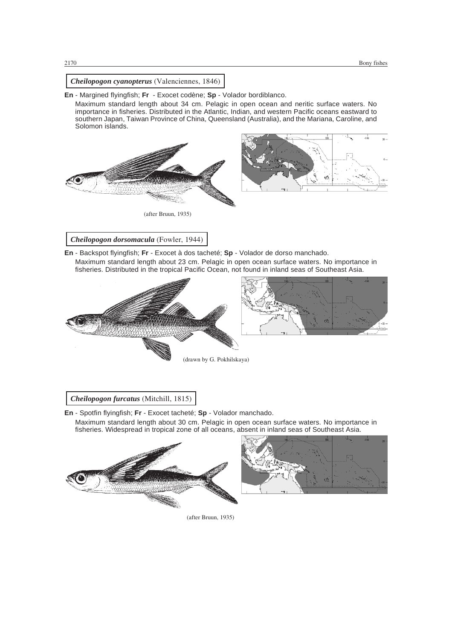

**En** - Margined flyingfish; **Fr** - Exocet codène; **Sp** - Volador bordiblanco.

Maximum standard length about 34 cm. Pelagic in open ocean and neritic surface waters. No importance in fisheries. Distributed in the Atlantic, Indian, and western Pacific oceans eastward to southern Japan, Taiwan Province of China, Queensland (Australia), and the Mariana, Caroline, and Solomon islands.



(after Bruun, 1935)

# *Cheilopogon dorsomacula* (Fowler, 1944)

**En** - Backspot flyingfish; **Fr** - Exocet à dos tacheté; **Sp** - Volador de dorso manchado.

Maximum standard length about 23 cm. Pelagic in open ocean surface waters. No importance in fisheries. Distributed in the tropical Pacific Ocean, not found in inland seas of Southeast Asia.





(drawn by G. Pokhilskaya)

*Cheilopogon furcatus* (Mitchill, 1815)

**En** - Spotfin flyingfish; **Fr** - Exocet tacheté; **Sp** - Volador manchado. Maximum standard length about 30 cm. Pelagic in open ocean surface waters. No importance in fisheries. Widespread in tropical zone of all oceans, absent in inland seas of Southeast Asia.





(after Bruun, 1935)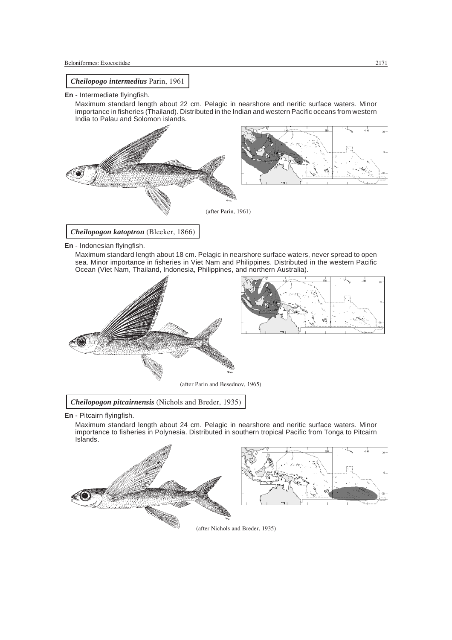

**En** - Indonesian flyingfish.

Maximum standard length about 18 cm. Pelagic in nearshore surface waters, never spread to open sea. Minor importance in fisheries in Viet Nam and Philippines. Distributed in the western Pacific Ocean (Viet Nam, Thailand, Indonesia, Philippines, and northern Australia).





(after Parin and Besednov, 1965)

*Cheilopogon pitcairnensis* (Nichols and Breder, 1935)

**En** - Pitcairn flyingfish.

Maximum standard length about 24 cm. Pelagic in nearshore and neritic surface waters. Minor importance to fisheries in Polynesia. Distributed in southern tropical Pacific from Tonga to Pitcairn Islands.



(after Nichols and Breder, 1935)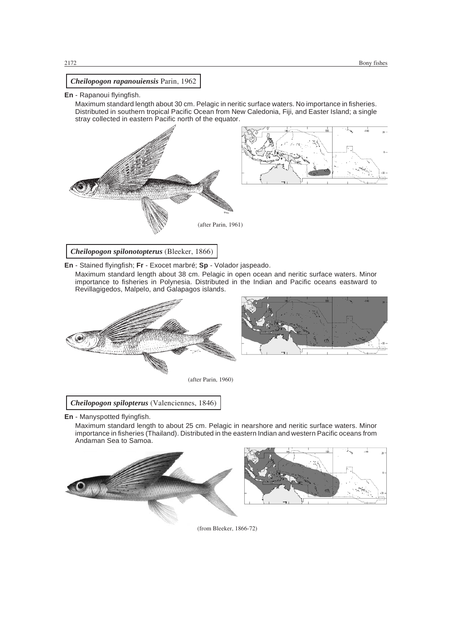

## **En** - Rapanoui flyingfish.

Maximum standard length about 30 cm. Pelagic in neritic surface waters. No importance in fisheries. Distributed in southern tropical Pacific Ocean from New Caledonia, Fiji, and Easter Island; a single stray collected in eastern Pacific north of the equator.



**En** - Stained flyingfish; **Fr** - Exocet marbré; **Sp** - Volador jaspeado.

Maximum standard length about 38 cm. Pelagic in open ocean and neritic surface waters. Minor importance to fisheries in Polynesia. Distributed in the Indian and Pacific oceans eastward to Revillagigedos, Malpelo, and Galapagos islands.





*Cheilopogon spilopterus* (Valenciennes, 1846)

**En** - Manyspotted flyingfish.

Maximum standard length to about 25 cm. Pelagic in nearshore and neritic surface waters. Minor importance in fisheries (Thailand). Distributed in the eastern Indian and western Pacific oceans from Andaman Sea to Samoa.





(from Bleeker, 1866-72)